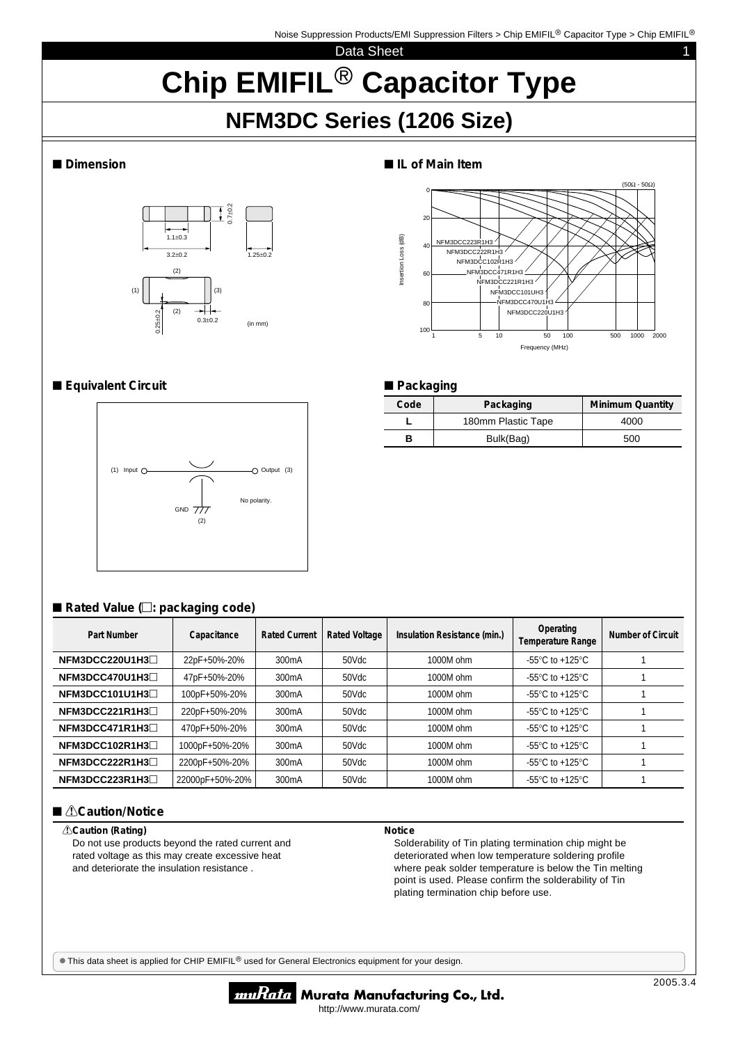## Data Sheet 1 **Chip EMIFIL<sup>®</sup> Capacitor Type**

# **NFM3DC Series (1206 Size)**



### ■ Dimension ■ IL of Main Item



**Code** Packaging Minimum Quantity **L** 180mm Plastic Tape | 4000 **B** Bulk(Bag) 500

#### ■**Equivalent Circuit** ■ Packaging



#### ■ Rated Value ( $□$ : packaging code)

| Part Number    | Capacitance     | <b>Rated Current</b> | <b>Rated Voltage</b> | Insulation Resistance (min.) | Operating<br><b>Temperature Range</b>                 | Number of Circuit |
|----------------|-----------------|----------------------|----------------------|------------------------------|-------------------------------------------------------|-------------------|
| NFM3DCC220U1H3 | 22pF+50%-20%    | 300 <sub>m</sub> A   | 50Vdc                | 1000M ohm                    | $-55^{\circ}$ C to $+125^{\circ}$ C                   |                   |
| NFM3DCC470U1H3 | 47pF+50%-20%    | 300 <sub>m</sub> A   | 50Vdc                | 1000M ohm                    | $-55^{\circ}$ C to $+125^{\circ}$ C                   |                   |
| NFM3DCC101U1H3 | 100pF+50%-20%   | 300 <sub>m</sub> A   | 50Vdc                | 1000M ohm                    | -55 $\mathrm{^{\circ}C}$ to +125 $\mathrm{^{\circ}C}$ |                   |
| NFM3DCC221R1H3 | 220pF+50%-20%   | 300 <sub>m</sub> A   | 50Vdc                | 1000M ohm                    | -55 $\mathrm{^{\circ}C}$ to +125 $\mathrm{^{\circ}C}$ |                   |
| NFM3DCC471R1H3 | 470pF+50%-20%   | 300 <sub>m</sub> A   | 50Vdc                | 1000M ohm                    | $-55^{\circ}$ C to $+125^{\circ}$ C                   |                   |
| NFM3DCC102R1H3 | 1000pF+50%-20%  | 300 <sub>m</sub> A   | 50Vdc                | 1000M ohm                    | $-55^{\circ}$ C to $+125^{\circ}$ C                   |                   |
| NFM3DCC222R1H3 | 2200pF+50%-20%  | 300 <sub>m</sub> A   | 50Vdc                | 1000M ohm                    | -55 $\mathrm{^{\circ}C}$ to +125 $\mathrm{^{\circ}C}$ |                   |
| NFM3DCC223R1H3 | 22000pF+50%-20% | 300 <sub>m</sub> A   | 50Vdc                | 1000M ohm                    | -55 $\mathrm{^{\circ}C}$ to +125 $\mathrm{^{\circ}C}$ |                   |

#### ■ *<u>A</u>***Caution/Notice**

#### !**Caution (Rating)**

Do not use products beyond the rated current and rated voltage as this may create excessive heat and deteriorate the insulation resistance .

#### **Notice**

Solderability of Tin plating termination chip might be deteriorated when low temperature soldering profile where peak solder temperature is below the Tin melting point is used. Please confirm the solderability of Tin plating termination chip before use.

 $\bullet$  This data sheet is applied for CHIP EMIFIL<sup>®</sup> used for General Electronics equipment for your design.